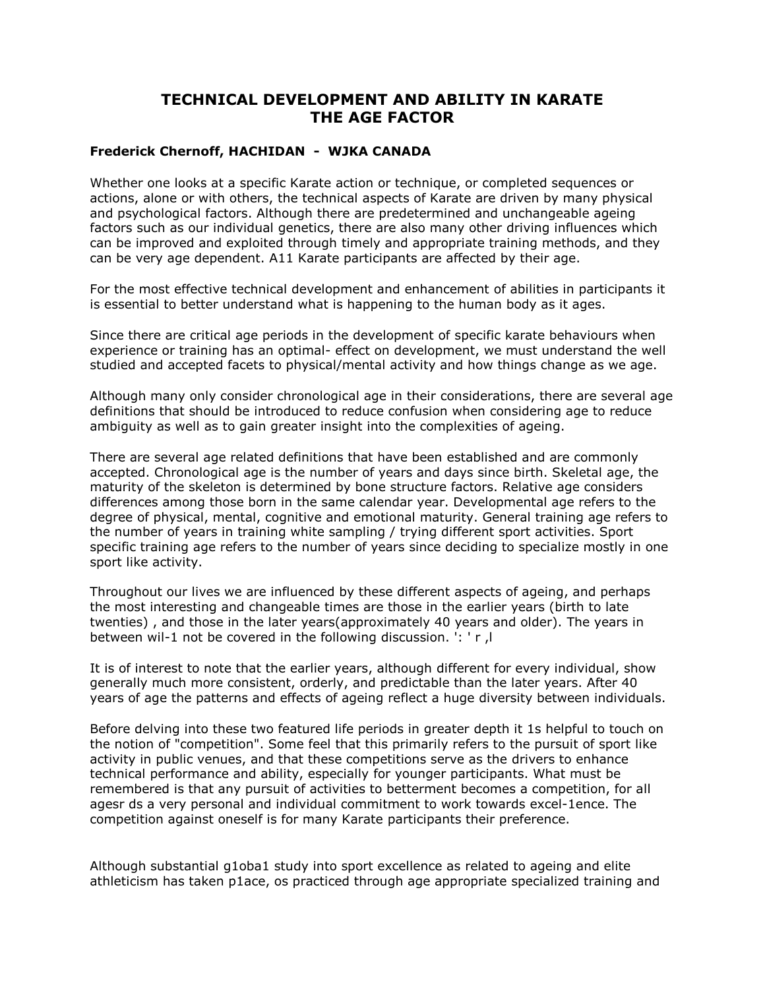# **TECHNICAL DEVELOPMENT AND ABILITY IN KARATE THE AGE FACTOR**

## **Frederick Chernoff, HACHIDAN - WJKA CANADA**

Whether one looks at a specific Karate action or technique, or completed sequences or actions, alone or with others, the technical aspects of Karate are driven by many physical and psychological factors. Although there are predetermined and unchangeable ageing factors such as our individual genetics, there are also many other driving influences which can be improved and exploited through timely and appropriate training methods, and they can be very age dependent. A11 Karate participants are affected by their age.

For the most effective technical development and enhancement of abilities in participants it is essential to better understand what is happening to the human body as it ages.

Since there are critical age periods in the development of specific karate behaviours when experience or training has an optimal- effect on development, we must understand the well studied and accepted facets to physical/mental activity and how things change as we age.

Although many only consider chronological age in their considerations, there are several age definitions that should be introduced to reduce confusion when considering age to reduce ambiguity as well as to gain greater insight into the complexities of ageing.

There are several age related definitions that have been established and are commonly accepted. Chronological age is the number of years and days since birth. Skeletal age, the maturity of the skeleton is determined by bone structure factors. Relative age considers differences among those born in the same calendar year. Developmental age refers to the degree of physical, mental, cognitive and emotional maturity. General training age refers to the number of years in training white sampling / trying different sport activities. Sport specific training age refers to the number of years since deciding to specialize mostly in one sport like activity.

Throughout our lives we are influenced by these different aspects of ageing, and perhaps the most interesting and changeable times are those in the earlier years (birth to late twenties) , and those in the later years(approximately 40 years and older). The years in between wil-1 not be covered in the following discussion. ': ' r ,l

It is of interest to note that the earlier years, although different for every individual, show generally much more consistent, orderly, and predictable than the later years. After 40 years of age the patterns and effects of ageing reflect a huge diversity between individuals.

Before delving into these two featured life periods in greater depth it 1s helpful to touch on the notion of "competition". Some feel that this primarily refers to the pursuit of sport like activity in public venues, and that these competitions serve as the drivers to enhance technical performance and ability, especially for younger participants. What must be remembered is that any pursuit of activities to betterment becomes a competition, for all agesr ds a very personal and individual commitment to work towards excel-1ence. The competition against oneself is for many Karate participants their preference.

Although substantial g1oba1 study into sport excellence as related to ageing and elite athleticism has taken p1ace, os practiced through age appropriate specialized training and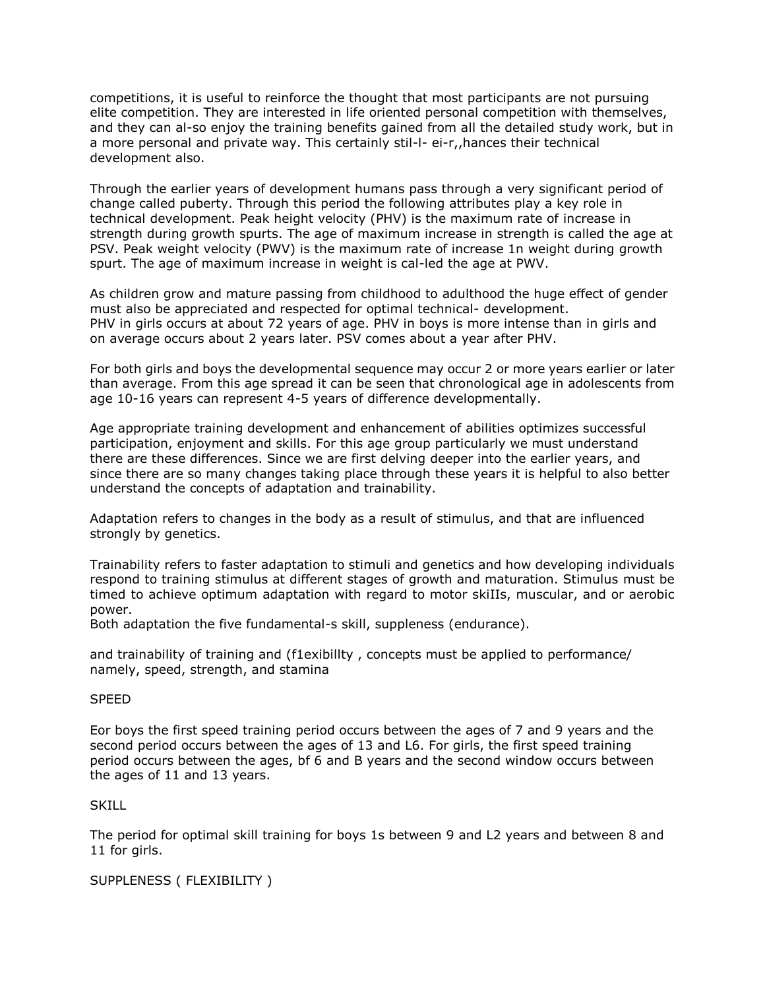competitions, it is useful to reinforce the thought that most participants are not pursuing elite competition. They are interested in life oriented personal competition with themselves, and they can al-so enjoy the training benefits gained from all the detailed study work, but in a more personal and private way. This certainly stil-l- ei-r,,hances their technical development also.

Through the earlier years of development humans pass through a very significant period of change called puberty. Through this period the following attributes play a key role in technical development. Peak height velocity (PHV) is the maximum rate of increase in strength during growth spurts. The age of maximum increase in strength is called the age at PSV. Peak weight velocity (PWV) is the maximum rate of increase 1n weight during growth spurt. The age of maximum increase in weight is cal-led the age at PWV.

As children grow and mature passing from childhood to adulthood the huge effect of gender must also be appreciated and respected for optimal technical- development. PHV in girls occurs at about 72 years of age. PHV in boys is more intense than in girls and on average occurs about 2 years later. PSV comes about a year after PHV.

For both girls and boys the developmental sequence may occur 2 or more years earlier or later than average. From this age spread it can be seen that chronological age in adolescents from age 10-16 years can represent 4-5 years of difference developmentally.

Age appropriate training development and enhancement of abilities optimizes successful participation, enjoyment and skills. For this age group particularly we must understand there are these differences. Since we are first delving deeper into the earlier years, and since there are so many changes taking place through these years it is helpful to also better understand the concepts of adaptation and trainability.

Adaptation refers to changes in the body as a result of stimulus, and that are influenced strongly by genetics.

Trainability refers to faster adaptation to stimuli and genetics and how developing individuals respond to training stimulus at different stages of growth and maturation. Stimulus must be timed to achieve optimum adaptation with regard to motor skiIIs, muscular, and or aerobic power.

Both adaptation the five fundamental-s skill, suppleness (endurance).

and trainability of training and (f1exibillty , concepts must be applied to performance/ namely, speed, strength, and stamina

### SPEED

Eor boys the first speed training period occurs between the ages of 7 and 9 years and the second period occurs between the ages of 13 and L6. For girls, the first speed training period occurs between the ages, bf 6 and B years and the second window occurs between the ages of 11 and 13 years.

### SKILL

The period for optimal skill training for boys 1s between 9 and L2 years and between 8 and 11 for girls.

SUPPLENESS ( FLEXIBILITY )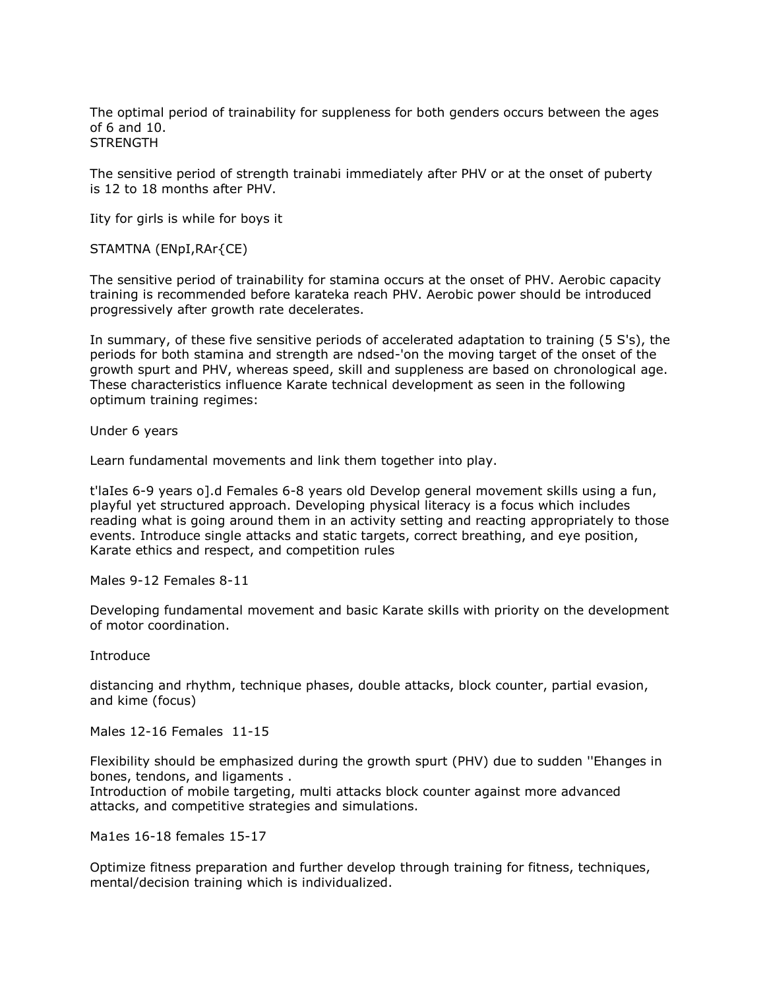The optimal period of trainability for suppleness for both genders occurs between the ages of 6 and 10. **STRENGTH** 

The sensitive period of strength trainabi immediately after PHV or at the onset of puberty is 12 to 18 months after PHV.

Iity for girls is while for boys it

STAMTNA (ENpI,RAr{CE)

The sensitive period of trainability for stamina occurs at the onset of PHV. Aerobic capacity training is recommended before karateka reach PHV. Aerobic power should be introduced progressively after growth rate decelerates.

In summary, of these five sensitive periods of accelerated adaptation to training (5 S's), the periods for both stamina and strength are ndsed-'on the moving target of the onset of the growth spurt and PHV, whereas speed, skill and suppleness are based on chronological age. These characteristics influence Karate technical development as seen in the following optimum training regimes:

Under 6 years

Learn fundamental movements and link them together into play.

t'laIes 6-9 years o].d Females 6-8 years old Develop general movement skills using a fun, playful yet structured approach. Developing physical literacy is a focus which includes reading what is going around them in an activity setting and reacting appropriately to those events. Introduce single attacks and static targets, correct breathing, and eye position, Karate ethics and respect, and competition rules

Males 9-12 Females 8-11

Developing fundamental movement and basic Karate skills with priority on the development of motor coordination.

Introduce

distancing and rhythm, technique phases, double attacks, block counter, partial evasion, and kime (focus)

Males 12-16 Females 11-15

Flexibility should be emphasized during the growth spurt (PHV) due to sudden ''Ehanges in bones, tendons, and ligaments .

Introduction of mobile targeting, multi attacks block counter against more advanced attacks, and competitive strategies and simulations.

Ma1es 16-18 females 15-17

Optimize fitness preparation and further develop through training for fitness, techniques, mental/decision training which is individualized.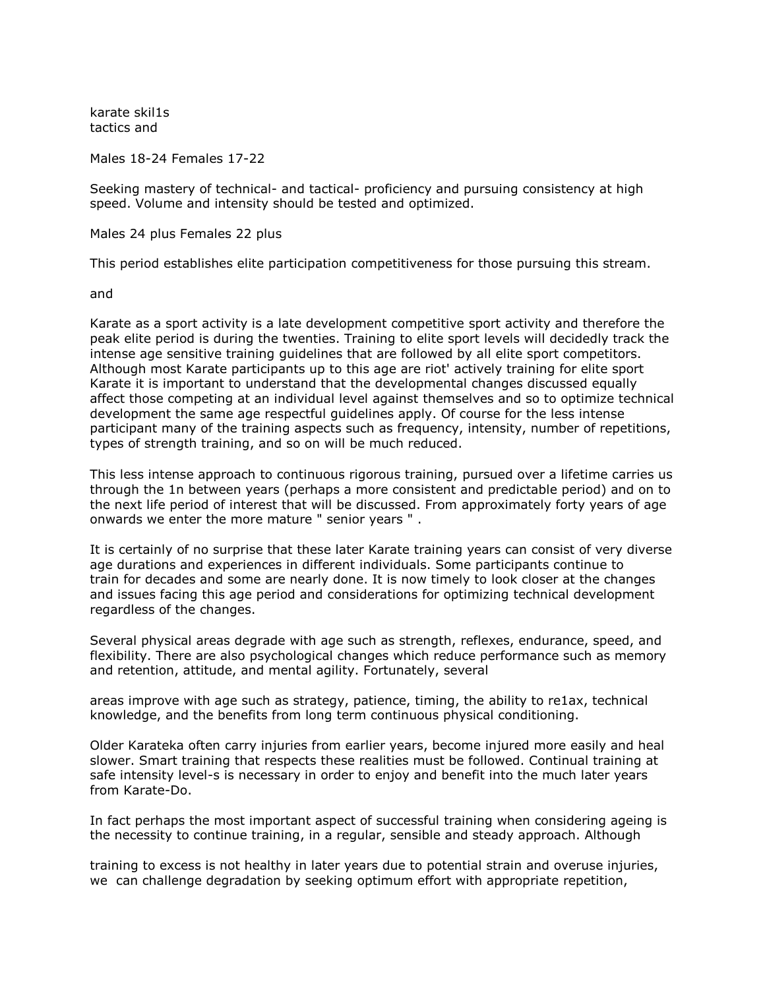karate skil1s tactics and

Males 18-24 Females 17-22

Seeking mastery of technical- and tactical- proficiency and pursuing consistency at high speed. Volume and intensity should be tested and optimized.

Males 24 plus Females 22 plus

This period establishes elite participation competitiveness for those pursuing this stream.

and

Karate as a sport activity is a late development competitive sport activity and therefore the peak elite period is during the twenties. Training to elite sport levels will decidedly track the intense age sensitive training guidelines that are followed by all elite sport competitors. Although most Karate participants up to this age are riot' actively training for elite sport Karate it is important to understand that the developmental changes discussed equally affect those competing at an individual level against themselves and so to optimize technical development the same age respectful guidelines apply. Of course for the less intense participant many of the training aspects such as frequency, intensity, number of repetitions, types of strength training, and so on will be much reduced.

This less intense approach to continuous rigorous training, pursued over a lifetime carries us through the 1n between years (perhaps a more consistent and predictable period) and on to the next life period of interest that will be discussed. From approximately forty years of age onwards we enter the more mature " senior years " .

It is certainly of no surprise that these later Karate training years can consist of very diverse age durations and experiences in different individuals. Some participants continue to train for decades and some are nearly done. It is now timely to look closer at the changes and issues facing this age period and considerations for optimizing technical development regardless of the changes.

Several physical areas degrade with age such as strength, reflexes, endurance, speed, and flexibility. There are also psychological changes which reduce performance such as memory and retention, attitude, and mental agility. Fortunately, several

areas improve with age such as strategy, patience, timing, the ability to re1ax, technical knowledge, and the benefits from long term continuous physical conditioning.

Older Karateka often carry injuries from earlier years, become injured more easily and heal slower. Smart training that respects these realities must be followed. Continual training at safe intensity level-s is necessary in order to enjoy and benefit into the much later years from Karate-Do.

In fact perhaps the most important aspect of successful training when considering ageing is the necessity to continue training, in a regular, sensible and steady approach. Although

training to excess is not healthy in later years due to potential strain and overuse injuries, we can challenge degradation by seeking optimum effort with appropriate repetition,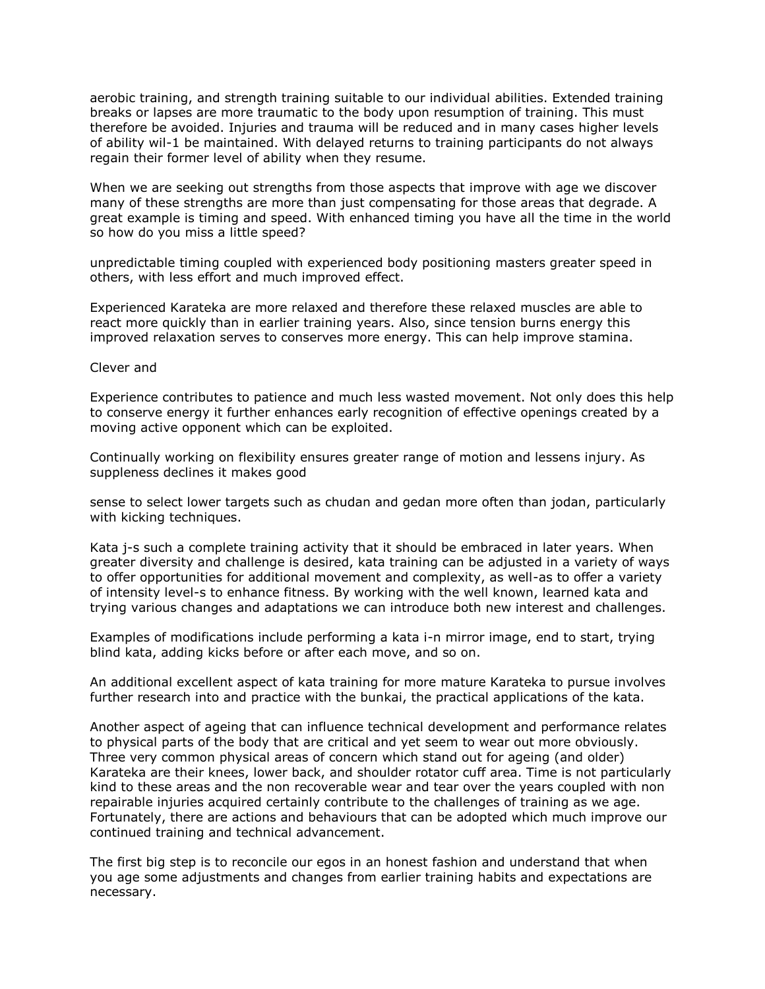aerobic training, and strength training suitable to our individual abilities. Extended training breaks or lapses are more traumatic to the body upon resumption of training. This must therefore be avoided. Injuries and trauma will be reduced and in many cases higher levels of ability wil-1 be maintained. With delayed returns to training participants do not always regain their former level of ability when they resume.

When we are seeking out strengths from those aspects that improve with age we discover many of these strengths are more than just compensating for those areas that degrade. A great example is timing and speed. With enhanced timing you have all the time in the world so how do you miss a little speed?

unpredictable timing coupled with experienced body positioning masters greater speed in others, with less effort and much improved effect.

Experienced Karateka are more relaxed and therefore these relaxed muscles are able to react more quickly than in earlier training years. Also, since tension burns energy this improved relaxation serves to conserves more energy. This can help improve stamina.

#### Clever and

Experience contributes to patience and much less wasted movement. Not only does this help to conserve energy it further enhances early recognition of effective openings created by a moving active opponent which can be exploited.

Continually working on flexibility ensures greater range of motion and lessens injury. As suppleness declines it makes good

sense to select lower targets such as chudan and gedan more often than jodan, particularly with kicking techniques.

Kata j-s such a complete training activity that it should be embraced in later years. When greater diversity and challenge is desired, kata training can be adjusted in a variety of ways to offer opportunities for additional movement and complexity, as well-as to offer a variety of intensity level-s to enhance fitness. By working with the well known, learned kata and trying various changes and adaptations we can introduce both new interest and challenges.

Examples of modifications include performing a kata i-n mirror image, end to start, trying blind kata, adding kicks before or after each move, and so on.

An additional excellent aspect of kata training for more mature Karateka to pursue involves further research into and practice with the bunkai, the practical applications of the kata.

Another aspect of ageing that can influence technical development and performance relates to physical parts of the body that are critical and yet seem to wear out more obviously. Three very common physical areas of concern which stand out for ageing (and older) Karateka are their knees, lower back, and shoulder rotator cuff area. Time is not particularly kind to these areas and the non recoverable wear and tear over the years coupled with non repairable injuries acquired certainly contribute to the challenges of training as we age. Fortunately, there are actions and behaviours that can be adopted which much improve our continued training and technical advancement.

The first big step is to reconcile our egos in an honest fashion and understand that when you age some adjustments and changes from earlier training habits and expectations are necessary.